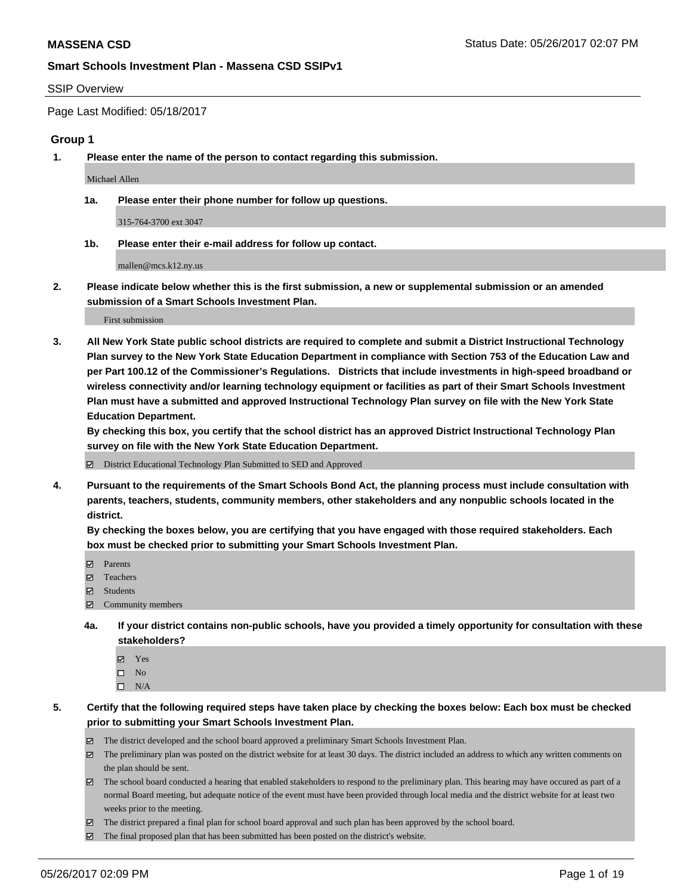### SSIP Overview

Page Last Modified: 05/18/2017

### **Group 1**

**1. Please enter the name of the person to contact regarding this submission.**

Michael Allen

**1a. Please enter their phone number for follow up questions.**

315-764-3700 ext 3047

**1b. Please enter their e-mail address for follow up contact.**

mallen@mcs.k12.ny.us

**2. Please indicate below whether this is the first submission, a new or supplemental submission or an amended submission of a Smart Schools Investment Plan.**

First submission

**3. All New York State public school districts are required to complete and submit a District Instructional Technology Plan survey to the New York State Education Department in compliance with Section 753 of the Education Law and per Part 100.12 of the Commissioner's Regulations. Districts that include investments in high-speed broadband or wireless connectivity and/or learning technology equipment or facilities as part of their Smart Schools Investment Plan must have a submitted and approved Instructional Technology Plan survey on file with the New York State Education Department.** 

**By checking this box, you certify that the school district has an approved District Instructional Technology Plan survey on file with the New York State Education Department.**

District Educational Technology Plan Submitted to SED and Approved

**4. Pursuant to the requirements of the Smart Schools Bond Act, the planning process must include consultation with parents, teachers, students, community members, other stakeholders and any nonpublic schools located in the district.** 

**By checking the boxes below, you are certifying that you have engaged with those required stakeholders. Each box must be checked prior to submitting your Smart Schools Investment Plan.**

- **マ** Parents
- □ Teachers
- Students
- $\Xi$  Community members
- **4a. If your district contains non-public schools, have you provided a timely opportunity for consultation with these stakeholders?**
	- Yes
	- $\hfill \square$  No
	- $\square$  N/A
- **5. Certify that the following required steps have taken place by checking the boxes below: Each box must be checked prior to submitting your Smart Schools Investment Plan.**
	- The district developed and the school board approved a preliminary Smart Schools Investment Plan.
	- $\boxtimes$  The preliminary plan was posted on the district website for at least 30 days. The district included an address to which any written comments on the plan should be sent.
	- $\boxtimes$  The school board conducted a hearing that enabled stakeholders to respond to the preliminary plan. This hearing may have occured as part of a normal Board meeting, but adequate notice of the event must have been provided through local media and the district website for at least two weeks prior to the meeting.
	- The district prepared a final plan for school board approval and such plan has been approved by the school board.
	- $\boxtimes$  The final proposed plan that has been submitted has been posted on the district's website.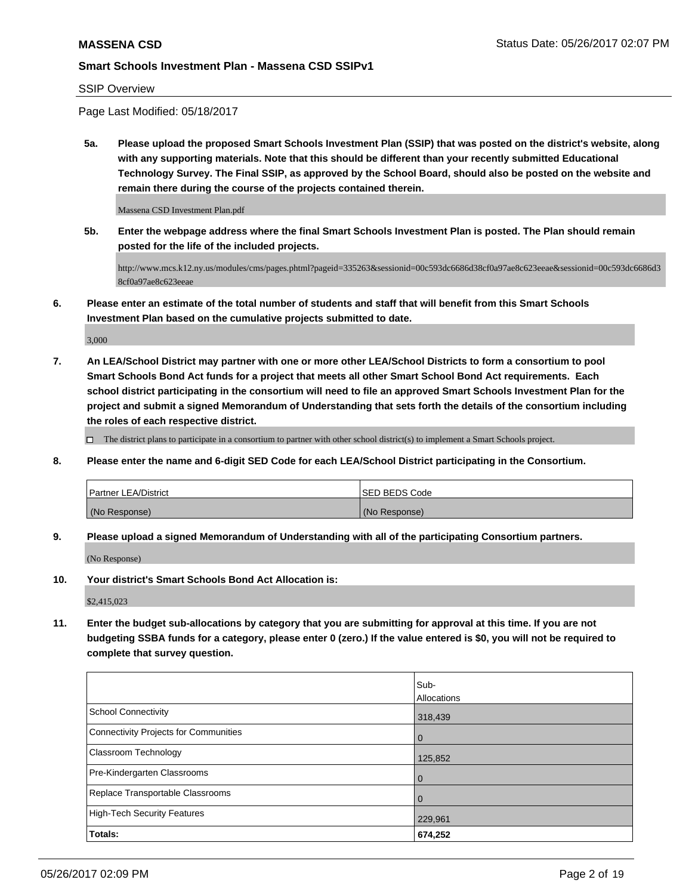SSIP Overview

Page Last Modified: 05/18/2017

**5a. Please upload the proposed Smart Schools Investment Plan (SSIP) that was posted on the district's website, along with any supporting materials. Note that this should be different than your recently submitted Educational Technology Survey. The Final SSIP, as approved by the School Board, should also be posted on the website and remain there during the course of the projects contained therein.**

Massena CSD Investment Plan.pdf

**5b. Enter the webpage address where the final Smart Schools Investment Plan is posted. The Plan should remain posted for the life of the included projects.**

http://www.mcs.k12.ny.us/modules/cms/pages.phtml?pageid=335263&sessionid=00c593dc6686d38cf0a97ae8c623eeae&sessionid=00c593dc6686d3 8cf0a97ae8c623eeae

**6. Please enter an estimate of the total number of students and staff that will benefit from this Smart Schools Investment Plan based on the cumulative projects submitted to date.**

3,000

**7. An LEA/School District may partner with one or more other LEA/School Districts to form a consortium to pool Smart Schools Bond Act funds for a project that meets all other Smart School Bond Act requirements. Each school district participating in the consortium will need to file an approved Smart Schools Investment Plan for the project and submit a signed Memorandum of Understanding that sets forth the details of the consortium including the roles of each respective district.**

 $\Box$  The district plans to participate in a consortium to partner with other school district(s) to implement a Smart Schools project.

**8. Please enter the name and 6-digit SED Code for each LEA/School District participating in the Consortium.**

| <b>Partner LEA/District</b> | ISED BEDS Code |
|-----------------------------|----------------|
| (No Response)               | (No Response)  |

**9. Please upload a signed Memorandum of Understanding with all of the participating Consortium partners.**

(No Response)

**10. Your district's Smart Schools Bond Act Allocation is:**

\$2,415,023

**11. Enter the budget sub-allocations by category that you are submitting for approval at this time. If you are not budgeting SSBA funds for a category, please enter 0 (zero.) If the value entered is \$0, you will not be required to complete that survey question.**

|                                       | Sub-           |
|---------------------------------------|----------------|
|                                       | Allocations    |
| <b>School Connectivity</b>            | 318,439        |
| Connectivity Projects for Communities | $\overline{0}$ |
| <b>Classroom Technology</b>           | 125,852        |
| Pre-Kindergarten Classrooms           | $\overline{0}$ |
| Replace Transportable Classrooms      | $\Omega$       |
| High-Tech Security Features           | 229,961        |
| Totals:                               | 674,252        |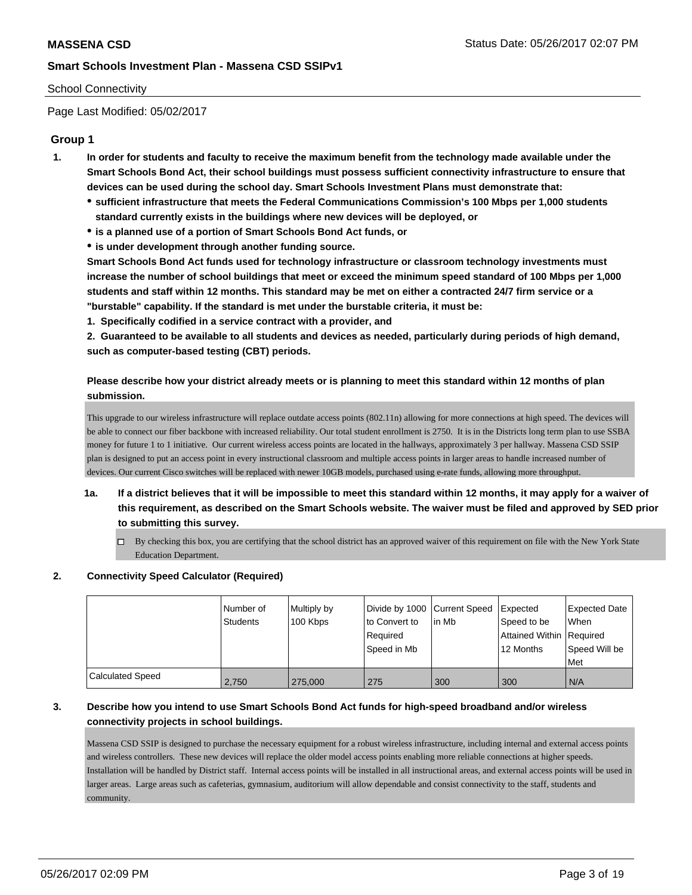## School Connectivity

Page Last Modified: 05/02/2017

# **Group 1**

- **1. In order for students and faculty to receive the maximum benefit from the technology made available under the Smart Schools Bond Act, their school buildings must possess sufficient connectivity infrastructure to ensure that devices can be used during the school day. Smart Schools Investment Plans must demonstrate that:**
	- **sufficient infrastructure that meets the Federal Communications Commission's 100 Mbps per 1,000 students standard currently exists in the buildings where new devices will be deployed, or**
	- **is a planned use of a portion of Smart Schools Bond Act funds, or**
	- **is under development through another funding source.**

**Smart Schools Bond Act funds used for technology infrastructure or classroom technology investments must increase the number of school buildings that meet or exceed the minimum speed standard of 100 Mbps per 1,000 students and staff within 12 months. This standard may be met on either a contracted 24/7 firm service or a "burstable" capability. If the standard is met under the burstable criteria, it must be:**

**1. Specifically codified in a service contract with a provider, and**

**2. Guaranteed to be available to all students and devices as needed, particularly during periods of high demand, such as computer-based testing (CBT) periods.**

# **Please describe how your district already meets or is planning to meet this standard within 12 months of plan submission.**

This upgrade to our wireless infrastructure will replace outdate access points (802.11n) allowing for more connections at high speed. The devices will be able to connect our fiber backbone with increased reliability. Our total student enrollment is 2750. It is in the Districts long term plan to use SSBA money for future 1 to 1 initiative. Our current wireless access points are located in the hallways, approximately 3 per hallway. Massena CSD SSIP plan is designed to put an access point in every instructional classroom and multiple access points in larger areas to handle increased number of devices. Our current Cisco switches will be replaced with newer 10GB models, purchased using e-rate funds, allowing more throughput.

- **1a. If a district believes that it will be impossible to meet this standard within 12 months, it may apply for a waiver of this requirement, as described on the Smart Schools website. The waiver must be filed and approved by SED prior to submitting this survey.**
	- By checking this box, you are certifying that the school district has an approved waiver of this requirement on file with the New York State Education Department.

### **2. Connectivity Speed Calculator (Required)**

|                  | Number of<br>Students | Multiply by<br>100 Kbps | Divide by 1000 Current Speed<br>to Convert to<br>Required<br>Speed in Mb | l in Mb | <b>Expected</b><br>Speed to be<br>Attained Within   Required<br>12 Months | Expected Date<br>When<br>Speed Will be<br><b>Met</b> |
|------------------|-----------------------|-------------------------|--------------------------------------------------------------------------|---------|---------------------------------------------------------------------------|------------------------------------------------------|
| Calculated Speed | 2,750                 | 275,000                 | 275                                                                      | 300     | 300                                                                       | N/A                                                  |

# **3. Describe how you intend to use Smart Schools Bond Act funds for high-speed broadband and/or wireless connectivity projects in school buildings.**

Massena CSD SSIP is designed to purchase the necessary equipment for a robust wireless infrastructure, including internal and external access points and wireless controllers. These new devices will replace the older model access points enabling more reliable connections at higher speeds. Installation will be handled by District staff. Internal access points will be installed in all instructional areas, and external access points will be used in larger areas. Large areas such as cafeterias, gymnasium, auditorium will allow dependable and consist connectivity to the staff, students and community.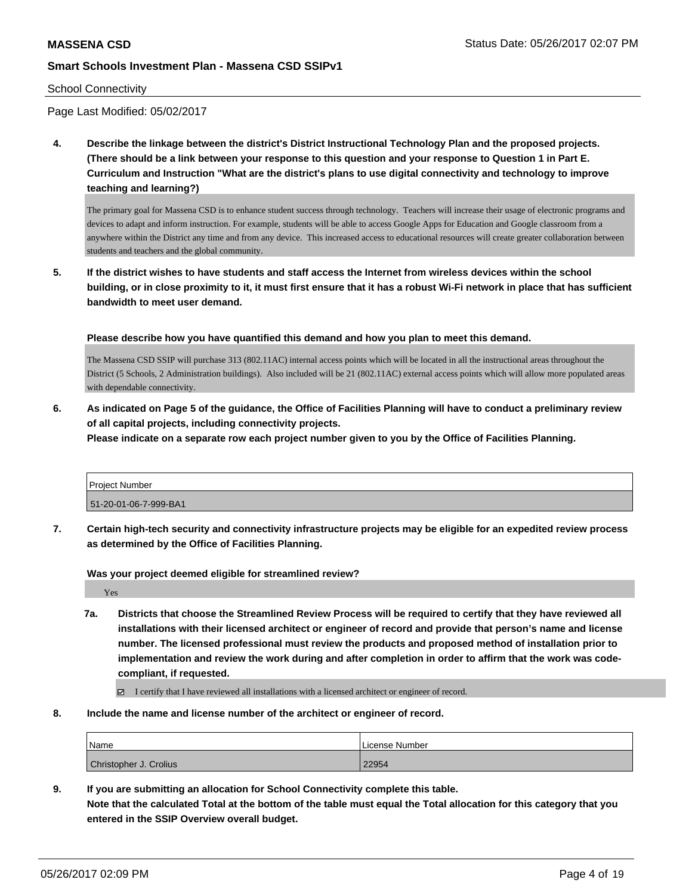### School Connectivity

Page Last Modified: 05/02/2017

**4. Describe the linkage between the district's District Instructional Technology Plan and the proposed projects. (There should be a link between your response to this question and your response to Question 1 in Part E. Curriculum and Instruction "What are the district's plans to use digital connectivity and technology to improve teaching and learning?)**

The primary goal for Massena CSD is to enhance student success through technology. Teachers will increase their usage of electronic programs and devices to adapt and inform instruction. For example, students will be able to access Google Apps for Education and Google classroom from a anywhere within the District any time and from any device. This increased access to educational resources will create greater collaboration between students and teachers and the global community.

**5. If the district wishes to have students and staff access the Internet from wireless devices within the school building, or in close proximity to it, it must first ensure that it has a robust Wi-Fi network in place that has sufficient bandwidth to meet user demand.**

**Please describe how you have quantified this demand and how you plan to meet this demand.**

The Massena CSD SSIP will purchase 313 (802.11AC) internal access points which will be located in all the instructional areas throughout the District (5 Schools, 2 Administration buildings). Also included will be 21 (802.11AC) external access points which will allow more populated areas with dependable connectivity.

**6. As indicated on Page 5 of the guidance, the Office of Facilities Planning will have to conduct a preliminary review of all capital projects, including connectivity projects.**

**Please indicate on a separate row each project number given to you by the Office of Facilities Planning.**

| <b>Project Number</b> |  |
|-----------------------|--|
| 51-20-01-06-7-999-BA1 |  |

**7. Certain high-tech security and connectivity infrastructure projects may be eligible for an expedited review process as determined by the Office of Facilities Planning.**

**Was your project deemed eligible for streamlined review?**

Yes

**7a. Districts that choose the Streamlined Review Process will be required to certify that they have reviewed all installations with their licensed architect or engineer of record and provide that person's name and license number. The licensed professional must review the products and proposed method of installation prior to implementation and review the work during and after completion in order to affirm that the work was codecompliant, if requested.**

I certify that I have reviewed all installations with a licensed architect or engineer of record.

**8. Include the name and license number of the architect or engineer of record.**

| Name                   | License Number |  |  |  |
|------------------------|----------------|--|--|--|
| Christopher J. Crolius | 22954          |  |  |  |

**9. If you are submitting an allocation for School Connectivity complete this table. Note that the calculated Total at the bottom of the table must equal the Total allocation for this category that you entered in the SSIP Overview overall budget.**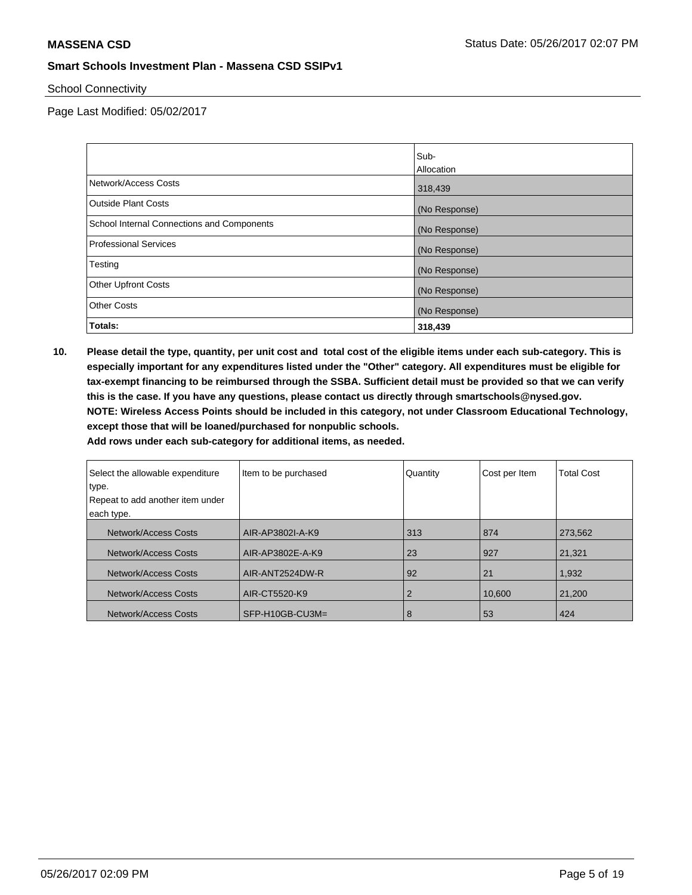School Connectivity

Page Last Modified: 05/02/2017

|                                            | Sub-          |
|--------------------------------------------|---------------|
|                                            | Allocation    |
| Network/Access Costs                       | 318,439       |
| <b>Outside Plant Costs</b>                 | (No Response) |
| School Internal Connections and Components | (No Response) |
| <b>Professional Services</b>               | (No Response) |
| Testing                                    | (No Response) |
| <b>Other Upfront Costs</b>                 | (No Response) |
| <b>Other Costs</b>                         | (No Response) |
| Totals:                                    | 318,439       |

**10. Please detail the type, quantity, per unit cost and total cost of the eligible items under each sub-category. This is especially important for any expenditures listed under the "Other" category. All expenditures must be eligible for tax-exempt financing to be reimbursed through the SSBA. Sufficient detail must be provided so that we can verify this is the case. If you have any questions, please contact us directly through smartschools@nysed.gov. NOTE: Wireless Access Points should be included in this category, not under Classroom Educational Technology, except those that will be loaned/purchased for nonpublic schools.**

| Select the allowable expenditure<br>type. | Item to be purchased | Quantity | Cost per Item | <b>Total Cost</b> |
|-------------------------------------------|----------------------|----------|---------------|-------------------|
| Repeat to add another item under          |                      |          |               |                   |
| each type.                                |                      |          |               |                   |
| Network/Access Costs                      | AIR-AP3802I-A-K9     | 313      | 874           | 273,562           |
| Network/Access Costs                      | AIR-AP3802E-A-K9     | 23       | 927           | 21.321            |
| Network/Access Costs                      | AIR-ANT2524DW-R      | 92       | 21            | 1,932             |
| Network/Access Costs                      | AIR-CT5520-K9        | 2        | 10,600        | 21,200            |
| Network/Access Costs                      | SFP-H10GB-CU3M=      | 8        | 53            | 424               |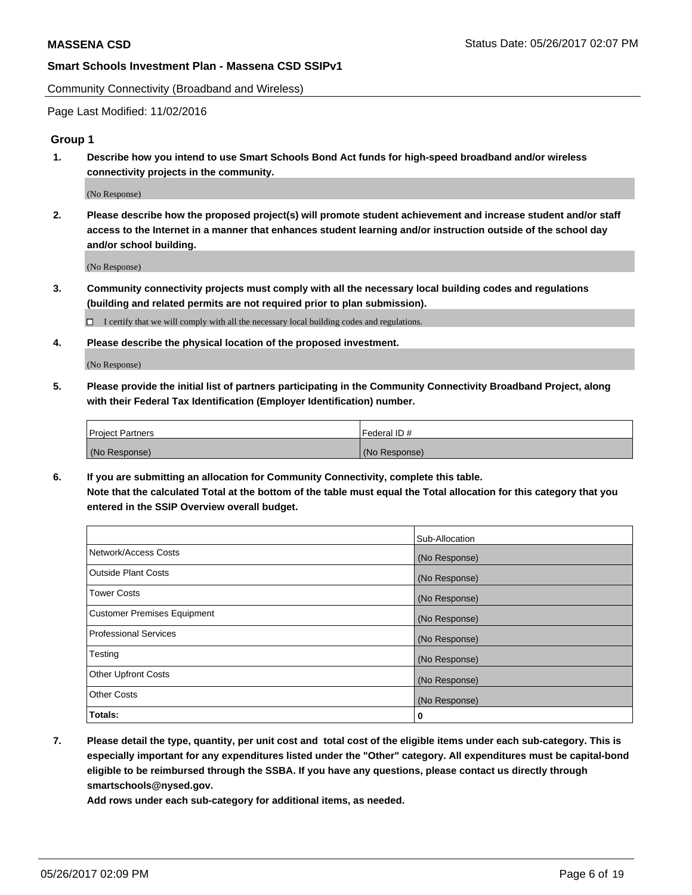Community Connectivity (Broadband and Wireless)

Page Last Modified: 11/02/2016

### **Group 1**

**1. Describe how you intend to use Smart Schools Bond Act funds for high-speed broadband and/or wireless connectivity projects in the community.**

(No Response)

**2. Please describe how the proposed project(s) will promote student achievement and increase student and/or staff access to the Internet in a manner that enhances student learning and/or instruction outside of the school day and/or school building.**

(No Response)

**3. Community connectivity projects must comply with all the necessary local building codes and regulations (building and related permits are not required prior to plan submission).**

 $\Box$  I certify that we will comply with all the necessary local building codes and regulations.

**4. Please describe the physical location of the proposed investment.**

(No Response)

**5. Please provide the initial list of partners participating in the Community Connectivity Broadband Project, along with their Federal Tax Identification (Employer Identification) number.**

| <b>Project Partners</b> | <sup>I</sup> Federal ID # |
|-------------------------|---------------------------|
| (No Response)           | (No Response)             |

**6. If you are submitting an allocation for Community Connectivity, complete this table. Note that the calculated Total at the bottom of the table must equal the Total allocation for this category that you entered in the SSIP Overview overall budget.**

|                                    | Sub-Allocation |
|------------------------------------|----------------|
| Network/Access Costs               | (No Response)  |
| Outside Plant Costs                | (No Response)  |
| <b>Tower Costs</b>                 | (No Response)  |
| <b>Customer Premises Equipment</b> | (No Response)  |
| <b>Professional Services</b>       | (No Response)  |
| Testing                            | (No Response)  |
| <b>Other Upfront Costs</b>         | (No Response)  |
| <b>Other Costs</b>                 | (No Response)  |
| Totals:                            | 0              |

**7. Please detail the type, quantity, per unit cost and total cost of the eligible items under each sub-category. This is especially important for any expenditures listed under the "Other" category. All expenditures must be capital-bond eligible to be reimbursed through the SSBA. If you have any questions, please contact us directly through smartschools@nysed.gov.**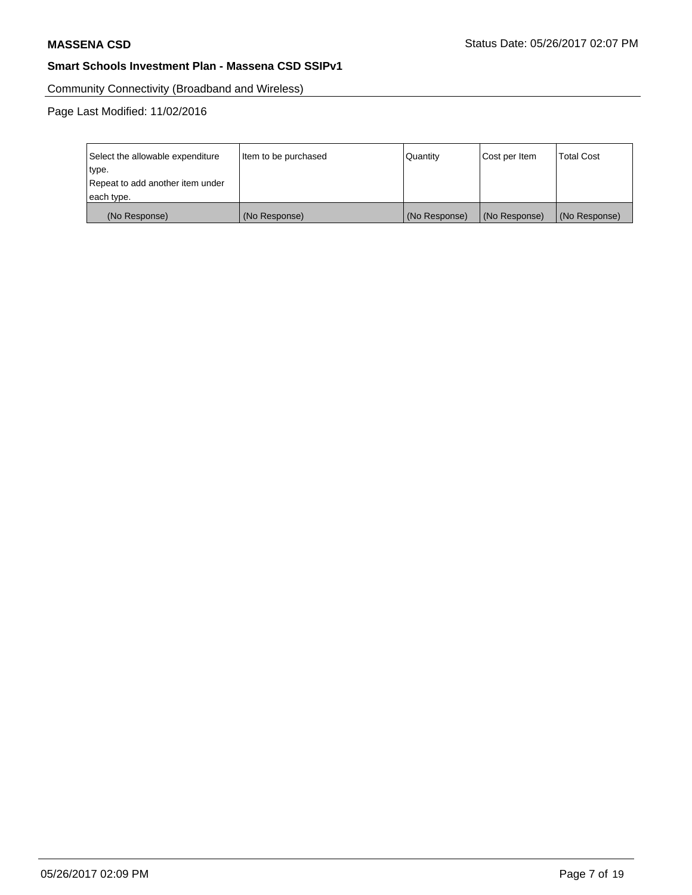Community Connectivity (Broadband and Wireless)

Page Last Modified: 11/02/2016

| Select the allowable expenditure<br>type.      | Item to be purchased | Quantity      | Cost per Item | <b>Total Cost</b> |
|------------------------------------------------|----------------------|---------------|---------------|-------------------|
| Repeat to add another item under<br>each type. |                      |               |               |                   |
| (No Response)                                  | (No Response)        | (No Response) | (No Response) | (No Response)     |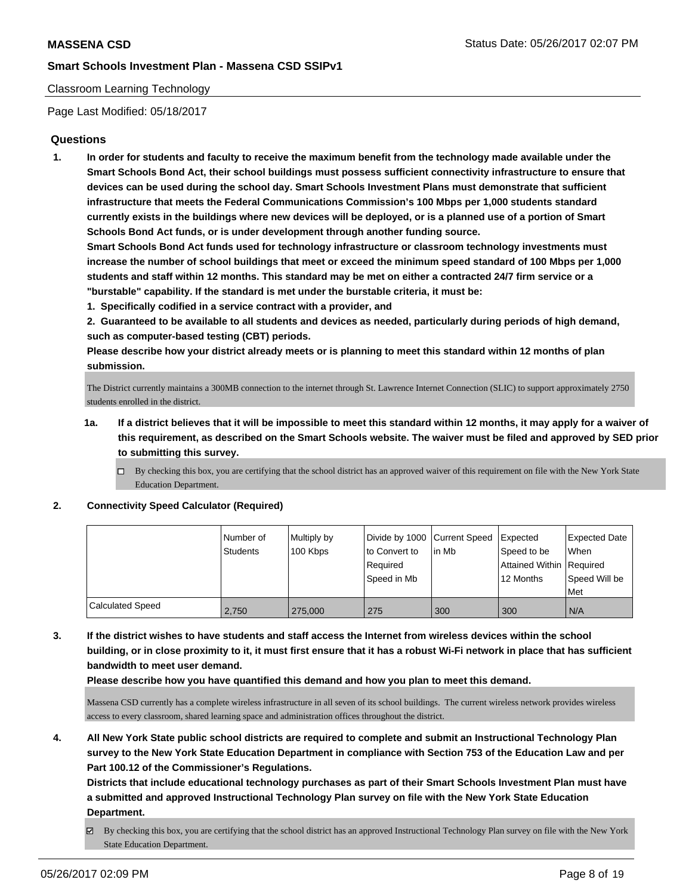### Classroom Learning Technology

Page Last Modified: 05/18/2017

### **Questions**

**1. In order for students and faculty to receive the maximum benefit from the technology made available under the Smart Schools Bond Act, their school buildings must possess sufficient connectivity infrastructure to ensure that devices can be used during the school day. Smart Schools Investment Plans must demonstrate that sufficient infrastructure that meets the Federal Communications Commission's 100 Mbps per 1,000 students standard currently exists in the buildings where new devices will be deployed, or is a planned use of a portion of Smart Schools Bond Act funds, or is under development through another funding source.**

**Smart Schools Bond Act funds used for technology infrastructure or classroom technology investments must increase the number of school buildings that meet or exceed the minimum speed standard of 100 Mbps per 1,000 students and staff within 12 months. This standard may be met on either a contracted 24/7 firm service or a "burstable" capability. If the standard is met under the burstable criteria, it must be:**

**1. Specifically codified in a service contract with a provider, and**

**2. Guaranteed to be available to all students and devices as needed, particularly during periods of high demand, such as computer-based testing (CBT) periods.**

**Please describe how your district already meets or is planning to meet this standard within 12 months of plan submission.**

The District currently maintains a 300MB connection to the internet through St. Lawrence Internet Connection (SLIC) to support approximately 2750 students enrolled in the district.

- **1a. If a district believes that it will be impossible to meet this standard within 12 months, it may apply for a waiver of this requirement, as described on the Smart Schools website. The waiver must be filed and approved by SED prior to submitting this survey.**
	- $\Box$  By checking this box, you are certifying that the school district has an approved waiver of this requirement on file with the New York State Education Department.

### **2. Connectivity Speed Calculator (Required)**

|                         | l Number of     | Multiply by | Divide by 1000 Current Speed |        | Expected                                | <b>Expected Date</b> |
|-------------------------|-----------------|-------------|------------------------------|--------|-----------------------------------------|----------------------|
|                         | <b>Students</b> | 100 Kbps    | to Convert to<br>Required    | lin Mb | Speed to be<br>Attained Within Required | <b>When</b>          |
|                         |                 |             | Speed in Mb                  |        | 12 Months                               | Speed Will be        |
|                         |                 |             |                              |        |                                         | Met                  |
| <b>Calculated Speed</b> | 2.750           | 275,000     | 275                          | 300    | 300                                     | I N/A                |

**3. If the district wishes to have students and staff access the Internet from wireless devices within the school building, or in close proximity to it, it must first ensure that it has a robust Wi-Fi network in place that has sufficient bandwidth to meet user demand.**

**Please describe how you have quantified this demand and how you plan to meet this demand.**

Massena CSD currently has a complete wireless infrastructure in all seven of its school buildings. The current wireless network provides wireless access to every classroom, shared learning space and administration offices throughout the district.

**4. All New York State public school districts are required to complete and submit an Instructional Technology Plan survey to the New York State Education Department in compliance with Section 753 of the Education Law and per Part 100.12 of the Commissioner's Regulations.**

**Districts that include educational technology purchases as part of their Smart Schools Investment Plan must have a submitted and approved Instructional Technology Plan survey on file with the New York State Education Department.**

By checking this box, you are certifying that the school district has an approved Instructional Technology Plan survey on file with the New York State Education Department.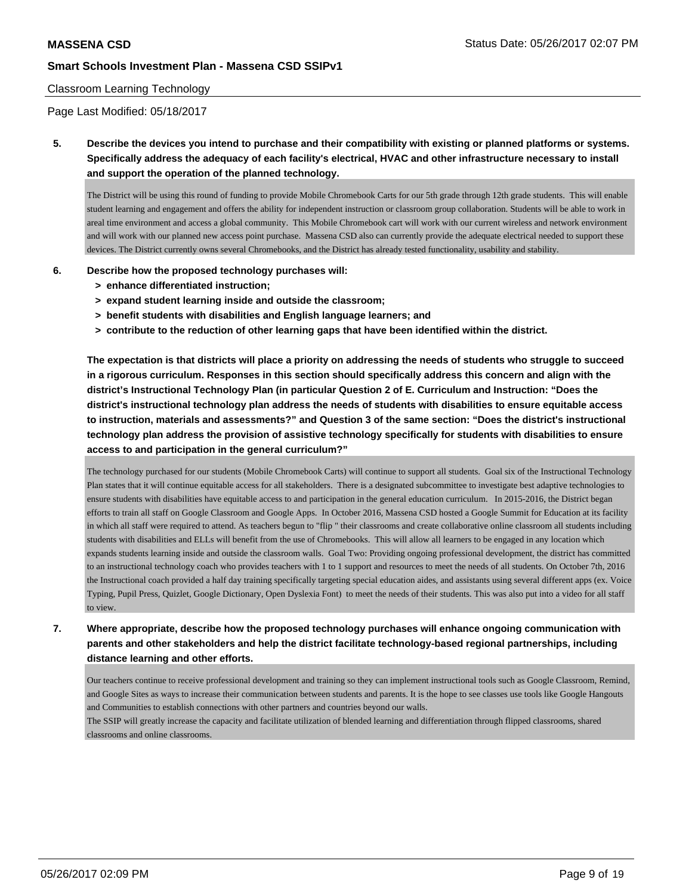### Classroom Learning Technology

Page Last Modified: 05/18/2017

**5. Describe the devices you intend to purchase and their compatibility with existing or planned platforms or systems. Specifically address the adequacy of each facility's electrical, HVAC and other infrastructure necessary to install and support the operation of the planned technology.**

The District will be using this round of funding to provide Mobile Chromebook Carts for our 5th grade through 12th grade students. This will enable student learning and engagement and offers the ability for independent instruction or classroom group collaboration. Students will be able to work in areal time environment and access a global community. This Mobile Chromebook cart will work with our current wireless and network environment and will work with our planned new access point purchase. Massena CSD also can currently provide the adequate electrical needed to support these devices. The District currently owns several Chromebooks, and the District has already tested functionality, usability and stability.

### **6. Describe how the proposed technology purchases will:**

- **> enhance differentiated instruction;**
- **> expand student learning inside and outside the classroom;**
- **> benefit students with disabilities and English language learners; and**
- **> contribute to the reduction of other learning gaps that have been identified within the district.**

**The expectation is that districts will place a priority on addressing the needs of students who struggle to succeed in a rigorous curriculum. Responses in this section should specifically address this concern and align with the district's Instructional Technology Plan (in particular Question 2 of E. Curriculum and Instruction: "Does the district's instructional technology plan address the needs of students with disabilities to ensure equitable access to instruction, materials and assessments?" and Question 3 of the same section: "Does the district's instructional technology plan address the provision of assistive technology specifically for students with disabilities to ensure access to and participation in the general curriculum?"**

The technology purchased for our students (Mobile Chromebook Carts) will continue to support all students. Goal six of the Instructional Technology Plan states that it will continue equitable access for all stakeholders. There is a designated subcommittee to investigate best adaptive technologies to ensure students with disabilities have equitable access to and participation in the general education curriculum. In 2015-2016, the District began efforts to train all staff on Google Classroom and Google Apps. In October 2016, Massena CSD hosted a Google Summit for Education at its facility in which all staff were required to attend. As teachers begun to "flip " their classrooms and create collaborative online classroom all students including students with disabilities and ELLs will benefit from the use of Chromebooks. This will allow all learners to be engaged in any location which expands students learning inside and outside the classroom walls. Goal Two: Providing ongoing professional development, the district has committed to an instructional technology coach who provides teachers with 1 to 1 support and resources to meet the needs of all students. On October 7th, 2016 the Instructional coach provided a half day training specifically targeting special education aides, and assistants using several different apps (ex. Voice Typing, Pupil Press, Quizlet, Google Dictionary, Open Dyslexia Font) to meet the needs of their students. This was also put into a video for all staff to view.

**7. Where appropriate, describe how the proposed technology purchases will enhance ongoing communication with parents and other stakeholders and help the district facilitate technology-based regional partnerships, including distance learning and other efforts.**

Our teachers continue to receive professional development and training so they can implement instructional tools such as Google Classroom, Remind, and Google Sites as ways to increase their communication between students and parents. It is the hope to see classes use tools like Google Hangouts and Communities to establish connections with other partners and countries beyond our walls.

The SSIP will greatly increase the capacity and facilitate utilization of blended learning and differentiation through flipped classrooms, shared classrooms and online classrooms.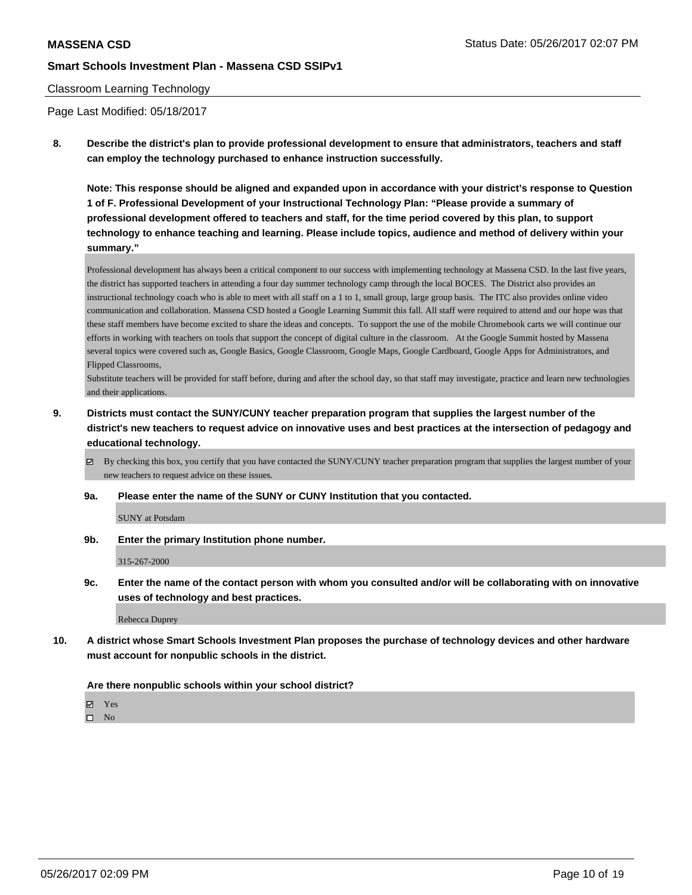### Classroom Learning Technology

Page Last Modified: 05/18/2017

**8. Describe the district's plan to provide professional development to ensure that administrators, teachers and staff can employ the technology purchased to enhance instruction successfully.**

**Note: This response should be aligned and expanded upon in accordance with your district's response to Question 1 of F. Professional Development of your Instructional Technology Plan: "Please provide a summary of professional development offered to teachers and staff, for the time period covered by this plan, to support technology to enhance teaching and learning. Please include topics, audience and method of delivery within your summary."**

Professional development has always been a critical component to our success with implementing technology at Massena CSD. In the last five years, the district has supported teachers in attending a four day summer technology camp through the local BOCES. The District also provides an instructional technology coach who is able to meet with all staff on a 1 to 1, small group, large group basis. The ITC also provides online video communication and collaboration. Massena CSD hosted a Google Learning Summit this fall. All staff were required to attend and our hope was that these staff members have become excited to share the ideas and concepts. To support the use of the mobile Chromebook carts we will continue our efforts in working with teachers on tools that support the concept of digital culture in the classroom. At the Google Summit hosted by Massena several topics were covered such as, Google Basics, Google Classroom, Google Maps, Google Cardboard, Google Apps for Administrators, and Flipped Classrooms,

Substitute teachers will be provided for staff before, during and after the school day, so that staff may investigate, practice and learn new technologies and their applications.

**9. Districts must contact the SUNY/CUNY teacher preparation program that supplies the largest number of the district's new teachers to request advice on innovative uses and best practices at the intersection of pedagogy and educational technology.**

 $\boxtimes$  By checking this box, you certify that you have contacted the SUNY/CUNY teacher preparation program that supplies the largest number of your new teachers to request advice on these issues.

**9a. Please enter the name of the SUNY or CUNY Institution that you contacted.**

SUNY at Potsdam

**9b. Enter the primary Institution phone number.**

315-267-2000

**9c. Enter the name of the contact person with whom you consulted and/or will be collaborating with on innovative uses of technology and best practices.**

Rebecca Duprey

**10. A district whose Smart Schools Investment Plan proposes the purchase of technology devices and other hardware must account for nonpublic schools in the district.**

#### **Are there nonpublic schools within your school district?**

Yes

 $\square$  No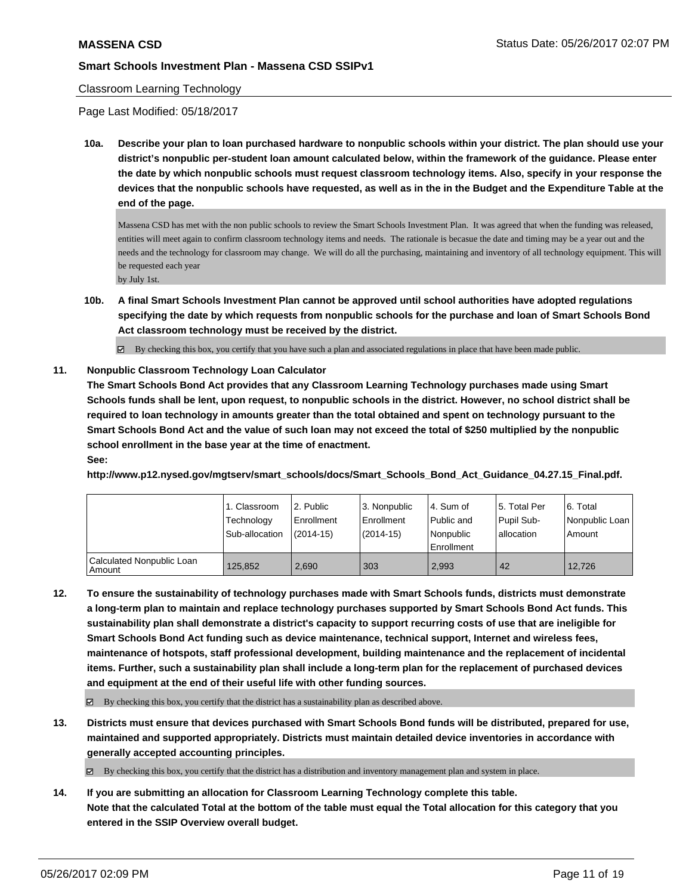### Classroom Learning Technology

Page Last Modified: 05/18/2017

**10a. Describe your plan to loan purchased hardware to nonpublic schools within your district. The plan should use your district's nonpublic per-student loan amount calculated below, within the framework of the guidance. Please enter the date by which nonpublic schools must request classroom technology items. Also, specify in your response the devices that the nonpublic schools have requested, as well as in the in the Budget and the Expenditure Table at the end of the page.**

Massena CSD has met with the non public schools to review the Smart Schools Investment Plan. It was agreed that when the funding was released, entities will meet again to confirm classroom technology items and needs. The rationale is becasue the date and timing may be a year out and the needs and the technology for classroom may change. We will do all the purchasing, maintaining and inventory of all technology equipment. This will be requested each year by July 1st.

- 
- **10b. A final Smart Schools Investment Plan cannot be approved until school authorities have adopted regulations specifying the date by which requests from nonpublic schools for the purchase and loan of Smart Schools Bond Act classroom technology must be received by the district.**
	- $\boxtimes$  By checking this box, you certify that you have such a plan and associated regulations in place that have been made public.

# **11. Nonpublic Classroom Technology Loan Calculator**

**The Smart Schools Bond Act provides that any Classroom Learning Technology purchases made using Smart Schools funds shall be lent, upon request, to nonpublic schools in the district. However, no school district shall be required to loan technology in amounts greater than the total obtained and spent on technology pursuant to the Smart Schools Bond Act and the value of such loan may not exceed the total of \$250 multiplied by the nonpublic school enrollment in the base year at the time of enactment. See:**

**http://www.p12.nysed.gov/mgtserv/smart\_schools/docs/Smart\_Schools\_Bond\_Act\_Guidance\_04.27.15\_Final.pdf.**

|                                     | 1. Classroom<br>Technology<br>Sub-allocation | l 2. Public<br>l Enrollment<br>(2014-15) | 3. Nonpublic<br>Enrollment<br>$(2014-15)$ | l 4. Sum of<br>Public and<br>l Nonpublic<br>l Enrollment | 15. Total Per<br>Pupil Sub-<br>allocation | l 6. Total<br>Nonpublic Loan  <br>Amount |
|-------------------------------------|----------------------------------------------|------------------------------------------|-------------------------------------------|----------------------------------------------------------|-------------------------------------------|------------------------------------------|
| Calculated Nonpublic Loan<br>Amount | 125.852                                      | 2.690                                    | 303                                       | 2,993                                                    | 42                                        | 12.726                                   |

**12. To ensure the sustainability of technology purchases made with Smart Schools funds, districts must demonstrate a long-term plan to maintain and replace technology purchases supported by Smart Schools Bond Act funds. This sustainability plan shall demonstrate a district's capacity to support recurring costs of use that are ineligible for Smart Schools Bond Act funding such as device maintenance, technical support, Internet and wireless fees, maintenance of hotspots, staff professional development, building maintenance and the replacement of incidental items. Further, such a sustainability plan shall include a long-term plan for the replacement of purchased devices and equipment at the end of their useful life with other funding sources.**

 $\boxtimes$  By checking this box, you certify that the district has a sustainability plan as described above.

**13. Districts must ensure that devices purchased with Smart Schools Bond funds will be distributed, prepared for use, maintained and supported appropriately. Districts must maintain detailed device inventories in accordance with generally accepted accounting principles.**

By checking this box, you certify that the district has a distribution and inventory management plan and system in place.

**14. If you are submitting an allocation for Classroom Learning Technology complete this table. Note that the calculated Total at the bottom of the table must equal the Total allocation for this category that you entered in the SSIP Overview overall budget.**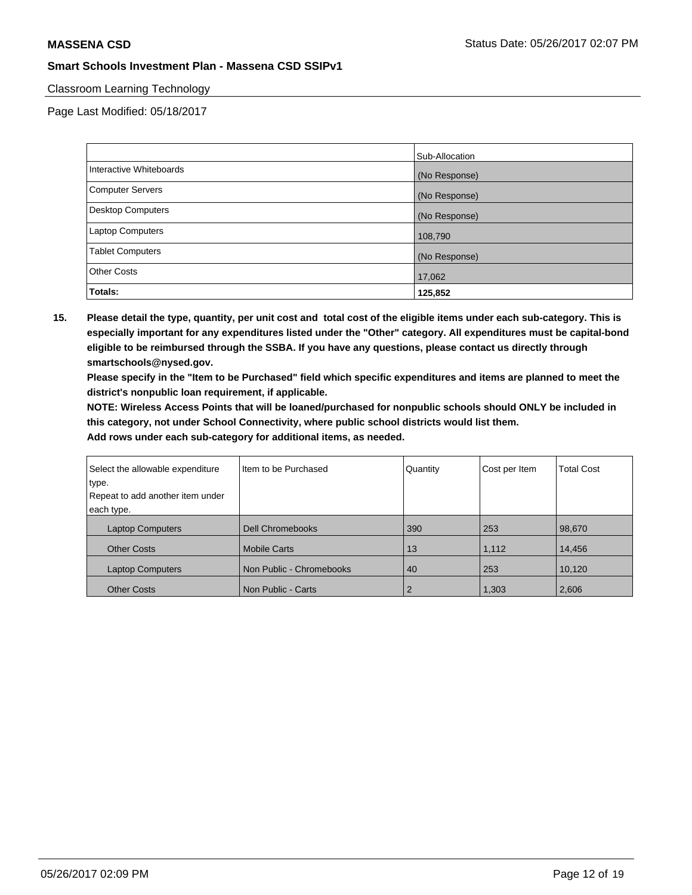## Classroom Learning Technology

Page Last Modified: 05/18/2017

|                         | Sub-Allocation |
|-------------------------|----------------|
| Interactive Whiteboards | (No Response)  |
| Computer Servers        | (No Response)  |
| Desktop Computers       | (No Response)  |
| Laptop Computers        | 108,790        |
| <b>Tablet Computers</b> | (No Response)  |
| <b>Other Costs</b>      | 17,062         |
| Totals:                 | 125,852        |

**15. Please detail the type, quantity, per unit cost and total cost of the eligible items under each sub-category. This is especially important for any expenditures listed under the "Other" category. All expenditures must be capital-bond eligible to be reimbursed through the SSBA. If you have any questions, please contact us directly through smartschools@nysed.gov.**

**Please specify in the "Item to be Purchased" field which specific expenditures and items are planned to meet the district's nonpublic loan requirement, if applicable.**

**NOTE: Wireless Access Points that will be loaned/purchased for nonpublic schools should ONLY be included in this category, not under School Connectivity, where public school districts would list them.**

| Select the allowable expenditure | Item to be Purchased     | Quantity | Cost per Item | <b>Total Cost</b> |
|----------------------------------|--------------------------|----------|---------------|-------------------|
| type.                            |                          |          |               |                   |
| Repeat to add another item under |                          |          |               |                   |
| each type.                       |                          |          |               |                   |
| <b>Laptop Computers</b>          | <b>Dell Chromebooks</b>  | 390      | 253           | 98,670            |
| <b>Other Costs</b>               | <b>Mobile Carts</b>      | 13       | 1,112         | 14.456            |
| <b>Laptop Computers</b>          | Non Public - Chromebooks | 40       | 253           | 10,120            |
| <b>Other Costs</b>               | Non Public - Carts       | 2        | 1,303         | 2,606             |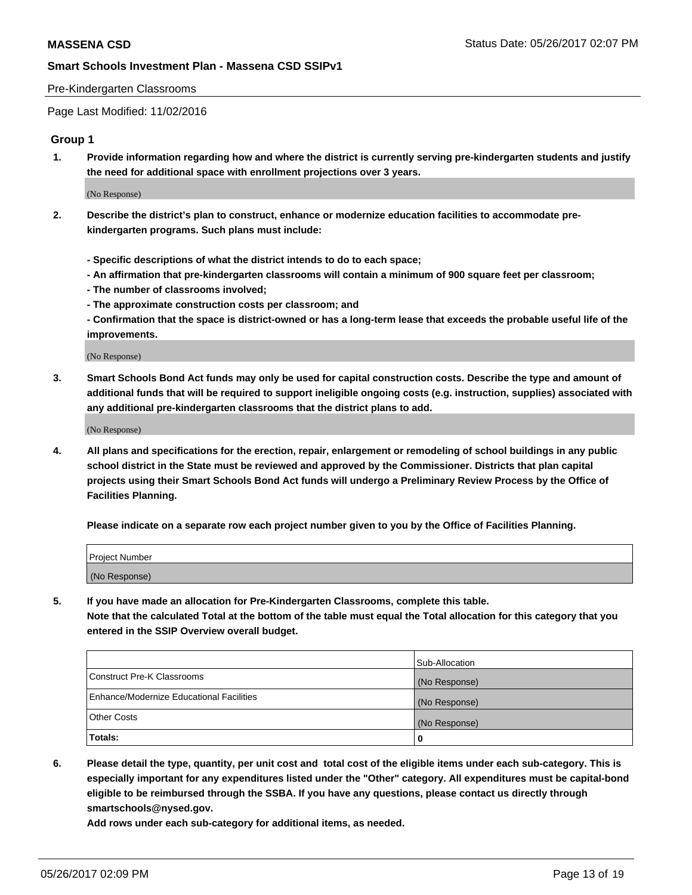### Pre-Kindergarten Classrooms

Page Last Modified: 11/02/2016

### **Group 1**

**1. Provide information regarding how and where the district is currently serving pre-kindergarten students and justify the need for additional space with enrollment projections over 3 years.**

(No Response)

- **2. Describe the district's plan to construct, enhance or modernize education facilities to accommodate prekindergarten programs. Such plans must include:**
	- **Specific descriptions of what the district intends to do to each space;**
	- **An affirmation that pre-kindergarten classrooms will contain a minimum of 900 square feet per classroom;**
	- **The number of classrooms involved;**
	- **The approximate construction costs per classroom; and**
	- **Confirmation that the space is district-owned or has a long-term lease that exceeds the probable useful life of the improvements.**

(No Response)

**3. Smart Schools Bond Act funds may only be used for capital construction costs. Describe the type and amount of additional funds that will be required to support ineligible ongoing costs (e.g. instruction, supplies) associated with any additional pre-kindergarten classrooms that the district plans to add.**

(No Response)

**4. All plans and specifications for the erection, repair, enlargement or remodeling of school buildings in any public school district in the State must be reviewed and approved by the Commissioner. Districts that plan capital projects using their Smart Schools Bond Act funds will undergo a Preliminary Review Process by the Office of Facilities Planning.**

**Please indicate on a separate row each project number given to you by the Office of Facilities Planning.**

| Project Number |  |
|----------------|--|
| (No Response)  |  |

**5. If you have made an allocation for Pre-Kindergarten Classrooms, complete this table. Note that the calculated Total at the bottom of the table must equal the Total allocation for this category that you entered in the SSIP Overview overall budget.**

| Totals:                                  | 0              |
|------------------------------------------|----------------|
| Other Costs                              | (No Response)  |
| Enhance/Modernize Educational Facilities | (No Response)  |
| Construct Pre-K Classrooms               | (No Response)  |
|                                          | Sub-Allocation |

**6. Please detail the type, quantity, per unit cost and total cost of the eligible items under each sub-category. This is especially important for any expenditures listed under the "Other" category. All expenditures must be capital-bond eligible to be reimbursed through the SSBA. If you have any questions, please contact us directly through smartschools@nysed.gov.**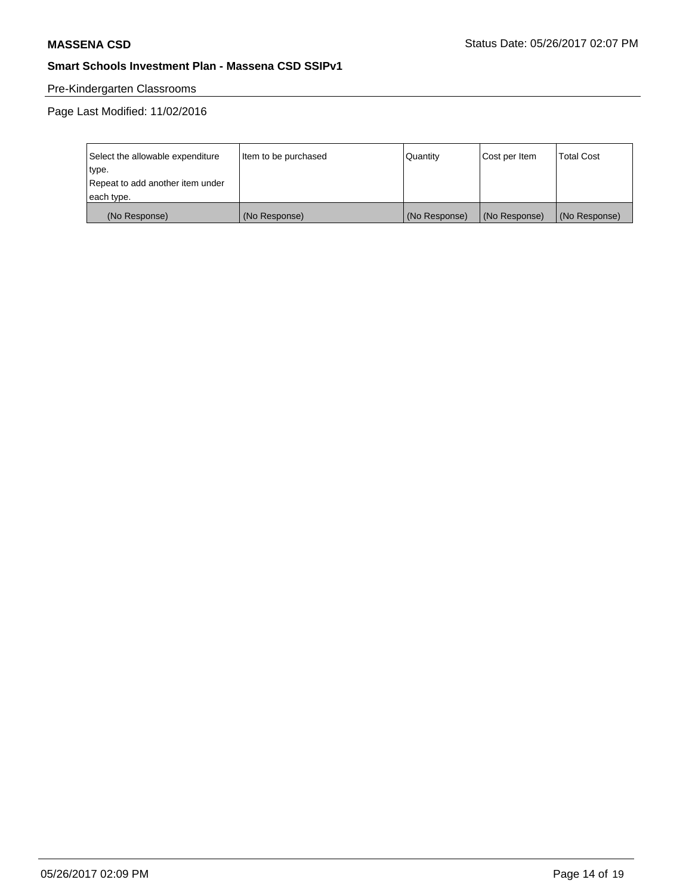# Pre-Kindergarten Classrooms

Page Last Modified: 11/02/2016

| Select the allowable expenditure | Item to be purchased | Quantity      | Cost per Item | <b>Total Cost</b> |
|----------------------------------|----------------------|---------------|---------------|-------------------|
| type.                            |                      |               |               |                   |
| Repeat to add another item under |                      |               |               |                   |
| each type.                       |                      |               |               |                   |
| (No Response)                    | (No Response)        | (No Response) | (No Response) | (No Response)     |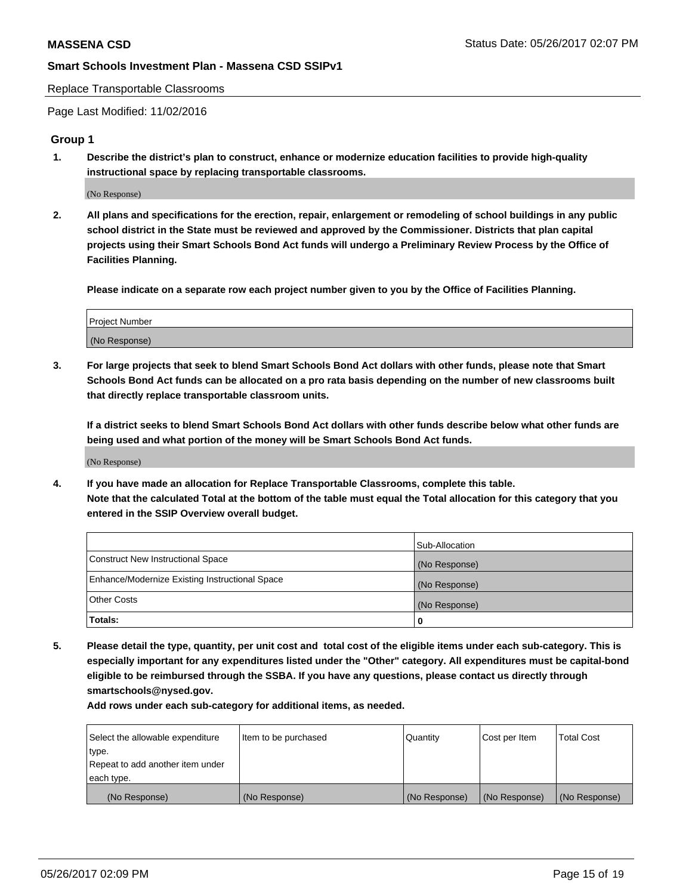Replace Transportable Classrooms

Page Last Modified: 11/02/2016

## **Group 1**

**1. Describe the district's plan to construct, enhance or modernize education facilities to provide high-quality instructional space by replacing transportable classrooms.**

(No Response)

**2. All plans and specifications for the erection, repair, enlargement or remodeling of school buildings in any public school district in the State must be reviewed and approved by the Commissioner. Districts that plan capital projects using their Smart Schools Bond Act funds will undergo a Preliminary Review Process by the Office of Facilities Planning.**

**Please indicate on a separate row each project number given to you by the Office of Facilities Planning.**

| Project Number |  |
|----------------|--|
| (No Response)  |  |

**3. For large projects that seek to blend Smart Schools Bond Act dollars with other funds, please note that Smart Schools Bond Act funds can be allocated on a pro rata basis depending on the number of new classrooms built that directly replace transportable classroom units.**

**If a district seeks to blend Smart Schools Bond Act dollars with other funds describe below what other funds are being used and what portion of the money will be Smart Schools Bond Act funds.**

(No Response)

**4. If you have made an allocation for Replace Transportable Classrooms, complete this table. Note that the calculated Total at the bottom of the table must equal the Total allocation for this category that you entered in the SSIP Overview overall budget.**

|                                                | Sub-Allocation |
|------------------------------------------------|----------------|
| Construct New Instructional Space              | (No Response)  |
| Enhance/Modernize Existing Instructional Space | (No Response)  |
| Other Costs                                    | (No Response)  |
| Totals:                                        | $\Omega$       |

**5. Please detail the type, quantity, per unit cost and total cost of the eligible items under each sub-category. This is especially important for any expenditures listed under the "Other" category. All expenditures must be capital-bond eligible to be reimbursed through the SSBA. If you have any questions, please contact us directly through smartschools@nysed.gov.**

| Select the allowable expenditure | Item to be purchased | Quantity      | Cost per Item | <b>Total Cost</b> |
|----------------------------------|----------------------|---------------|---------------|-------------------|
| type.                            |                      |               |               |                   |
| Repeat to add another item under |                      |               |               |                   |
| each type.                       |                      |               |               |                   |
| (No Response)                    | (No Response)        | (No Response) | (No Response) | (No Response)     |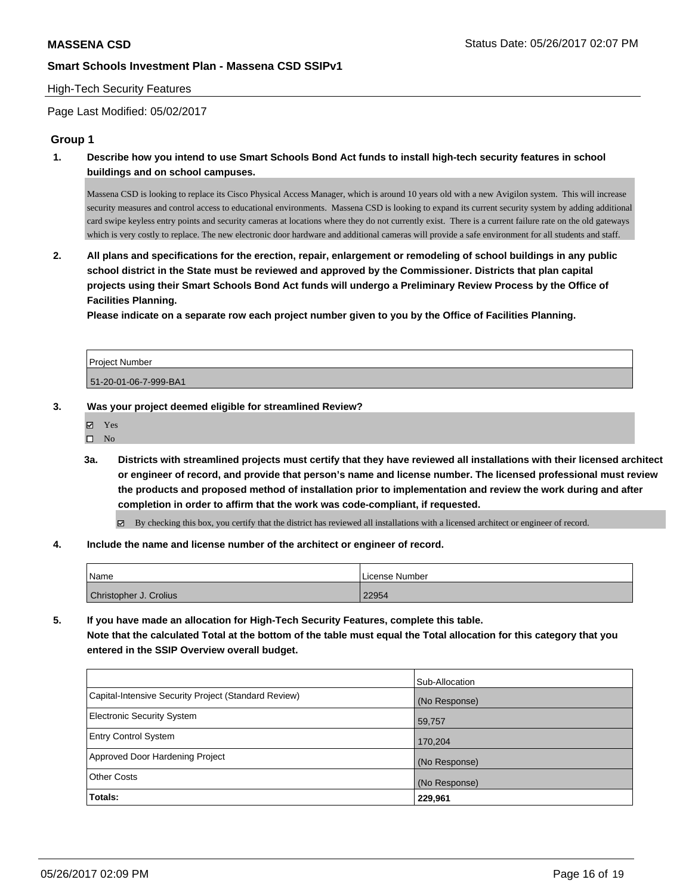### High-Tech Security Features

Page Last Modified: 05/02/2017

### **Group 1**

**1. Describe how you intend to use Smart Schools Bond Act funds to install high-tech security features in school buildings and on school campuses.**

Massena CSD is looking to replace its Cisco Physical Access Manager, which is around 10 years old with a new Avigilon system. This will increase security measures and control access to educational environments. Massena CSD is looking to expand its current security system by adding additional card swipe keyless entry points and security cameras at locations where they do not currently exist. There is a current failure rate on the old gateways which is very costly to replace. The new electronic door hardware and additional cameras will provide a safe environment for all students and staff.

**2. All plans and specifications for the erection, repair, enlargement or remodeling of school buildings in any public school district in the State must be reviewed and approved by the Commissioner. Districts that plan capital projects using their Smart Schools Bond Act funds will undergo a Preliminary Review Process by the Office of Facilities Planning.** 

**Please indicate on a separate row each project number given to you by the Office of Facilities Planning.**

Project Number 51-20-01-06-7-999-BA1

### **3. Was your project deemed eligible for streamlined Review?**

Yes

 $\square$  No

**3a. Districts with streamlined projects must certify that they have reviewed all installations with their licensed architect or engineer of record, and provide that person's name and license number. The licensed professional must review the products and proposed method of installation prior to implementation and review the work during and after completion in order to affirm that the work was code-compliant, if requested.**

By checking this box, you certify that the district has reviewed all installations with a licensed architect or engineer of record.

**4. Include the name and license number of the architect or engineer of record.**

| Name                   | License Number |
|------------------------|----------------|
| Christopher J. Crolius | 22954          |

**5. If you have made an allocation for High-Tech Security Features, complete this table. Note that the calculated Total at the bottom of the table must equal the Total allocation for this category that you entered in the SSIP Overview overall budget.**

|                                                      | Sub-Allocation |
|------------------------------------------------------|----------------|
| Capital-Intensive Security Project (Standard Review) | (No Response)  |
| Electronic Security System                           | 59,757         |
| <b>Entry Control System</b>                          | 170,204        |
| Approved Door Hardening Project                      | (No Response)  |
| <b>Other Costs</b>                                   | (No Response)  |
| Totals:                                              | 229,961        |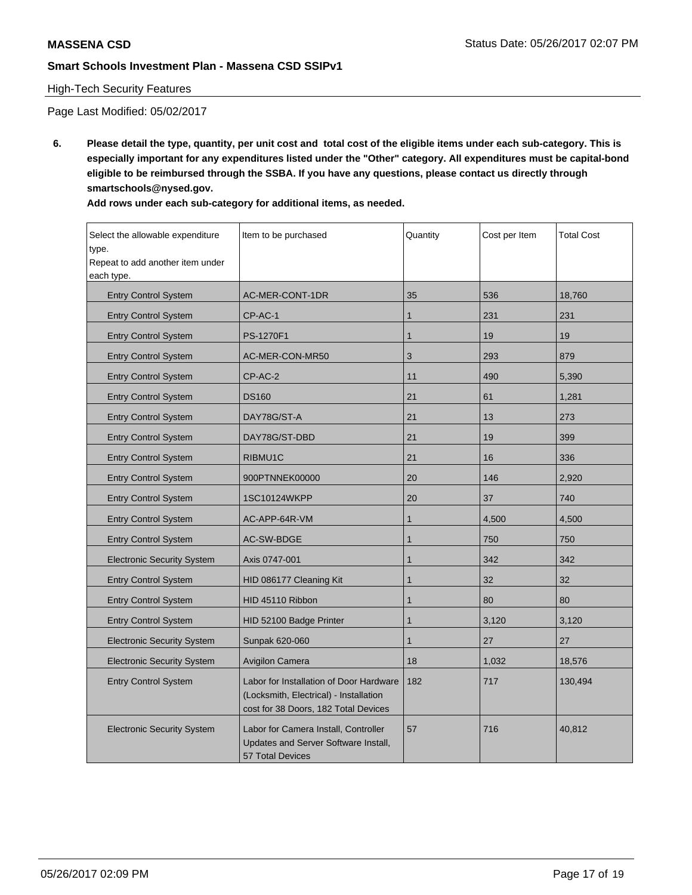# High-Tech Security Features

Page Last Modified: 05/02/2017

**6. Please detail the type, quantity, per unit cost and total cost of the eligible items under each sub-category. This is especially important for any expenditures listed under the "Other" category. All expenditures must be capital-bond eligible to be reimbursed through the SSBA. If you have any questions, please contact us directly through smartschools@nysed.gov.**

| Add rows under each sub-category for additional items, as needed. |  |
|-------------------------------------------------------------------|--|
|-------------------------------------------------------------------|--|

| Select the allowable expenditure<br>type.<br>Repeat to add another item under<br>each type. | Item to be purchased                                                                                                      | Quantity     | Cost per Item | <b>Total Cost</b> |
|---------------------------------------------------------------------------------------------|---------------------------------------------------------------------------------------------------------------------------|--------------|---------------|-------------------|
| <b>Entry Control System</b>                                                                 | AC-MER-CONT-1DR                                                                                                           | 35           | 536           | 18,760            |
| <b>Entry Control System</b>                                                                 | CP-AC-1                                                                                                                   | 1            | 231           | 231               |
| <b>Entry Control System</b>                                                                 | PS-1270F1                                                                                                                 | $\mathbf{1}$ | 19            | 19                |
| <b>Entry Control System</b>                                                                 | AC-MER-CON-MR50                                                                                                           | 3            | 293           | 879               |
| <b>Entry Control System</b>                                                                 | CP-AC-2                                                                                                                   | 11           | 490           | 5,390             |
| <b>Entry Control System</b>                                                                 | <b>DS160</b>                                                                                                              | 21           | 61            | 1,281             |
| <b>Entry Control System</b>                                                                 | DAY78G/ST-A                                                                                                               | 21           | 13            | 273               |
| <b>Entry Control System</b>                                                                 | DAY78G/ST-DBD                                                                                                             | 21           | 19            | 399               |
| <b>Entry Control System</b>                                                                 | RIBMU1C                                                                                                                   | 21           | 16            | 336               |
| <b>Entry Control System</b>                                                                 | 900PTNNEK00000                                                                                                            | 20           | 146           | 2,920             |
| <b>Entry Control System</b>                                                                 | 1SC10124WKPP                                                                                                              | 20           | 37            | 740               |
| <b>Entry Control System</b>                                                                 | AC-APP-64R-VM                                                                                                             | 1            | 4,500         | 4,500             |
| <b>Entry Control System</b>                                                                 | AC-SW-BDGE                                                                                                                | 1            | 750           | 750               |
| <b>Electronic Security System</b>                                                           | Axis 0747-001                                                                                                             | $\mathbf{1}$ | 342           | 342               |
| <b>Entry Control System</b>                                                                 | HID 086177 Cleaning Kit                                                                                                   | 1            | 32            | 32                |
| <b>Entry Control System</b>                                                                 | HID 45110 Ribbon                                                                                                          | $\mathbf{1}$ | 80            | 80                |
| <b>Entry Control System</b>                                                                 | HID 52100 Badge Printer                                                                                                   | $\mathbf{1}$ | 3,120         | 3,120             |
| <b>Electronic Security System</b>                                                           | Sunpak 620-060                                                                                                            | 1            | 27            | 27                |
| <b>Electronic Security System</b>                                                           | Avigilon Camera                                                                                                           | 18           | 1,032         | 18,576            |
| <b>Entry Control System</b>                                                                 | Labor for Installation of Door Hardware<br>(Locksmith, Electrical) - Installation<br>cost for 38 Doors, 182 Total Devices | 182          | 717           | 130,494           |
| <b>Electronic Security System</b>                                                           | Labor for Camera Install, Controller<br>Updates and Server Software Install,<br><b>57 Total Devices</b>                   | 57           | 716           | 40,812            |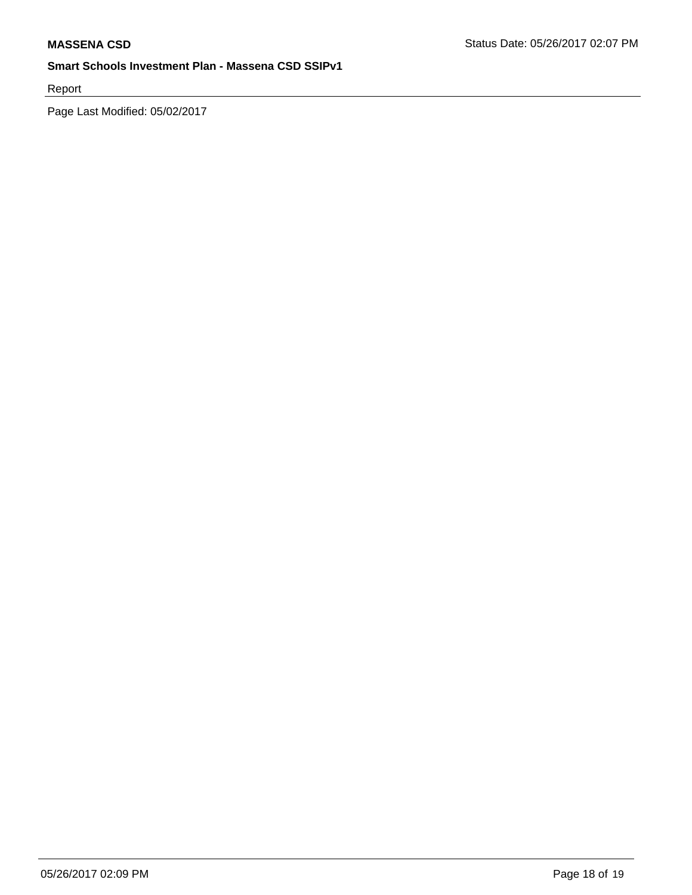Report

Page Last Modified: 05/02/2017